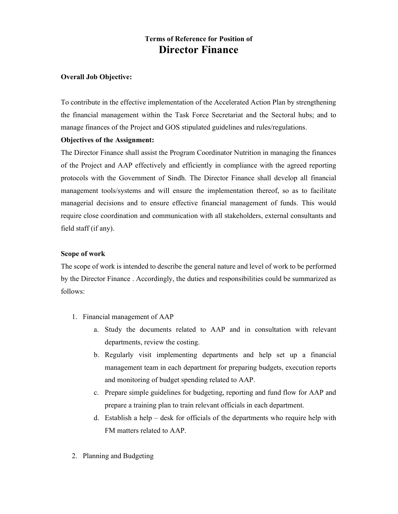# Terms of Reference for Position of Director Finance

### Overall Job Objective:

To contribute in the effective implementation of the Accelerated Action Plan by strengthening the financial management within the Task Force Secretariat and the Sectoral hubs; and to manage finances of the Project and GOS stipulated guidelines and rules/regulations.

#### Objectives of the Assignment:

The Director Finance shall assist the Program Coordinator Nutrition in managing the finances of the Project and AAP effectively and efficiently in compliance with the agreed reporting protocols with the Government of Sindh. The Director Finance shall develop all financial management tools/systems and will ensure the implementation thereof, so as to facilitate managerial decisions and to ensure effective financial management of funds. This would require close coordination and communication with all stakeholders, external consultants and field staff (if any).

### Scope of work

The scope of work is intended to describe the general nature and level of work to be performed by the Director Finance . Accordingly, the duties and responsibilities could be summarized as follows:

- 1. Financial management of AAP
	- a. Study the documents related to AAP and in consultation with relevant departments, review the costing.
	- b. Regularly visit implementing departments and help set up a financial management team in each department for preparing budgets, execution reports and monitoring of budget spending related to AAP.
	- c. Prepare simple guidelines for budgeting, reporting and fund flow for AAP and prepare a training plan to train relevant officials in each department.
	- d. Establish a help desk for officials of the departments who require help with FM matters related to AAP.
- 2. Planning and Budgeting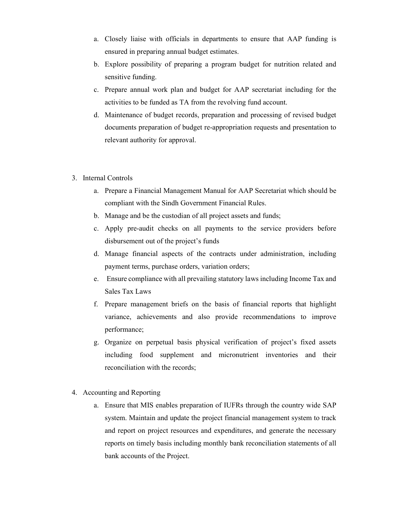- a. Closely liaise with officials in departments to ensure that AAP funding is ensured in preparing annual budget estimates.
- b. Explore possibility of preparing a program budget for nutrition related and sensitive funding.
- c. Prepare annual work plan and budget for AAP secretariat including for the activities to be funded as TA from the revolving fund account.
- d. Maintenance of budget records, preparation and processing of revised budget documents preparation of budget re-appropriation requests and presentation to relevant authority for approval.
- 3. Internal Controls
	- a. Prepare a Financial Management Manual for AAP Secretariat which should be compliant with the Sindh Government Financial Rules.
	- b. Manage and be the custodian of all project assets and funds;
	- c. Apply pre-audit checks on all payments to the service providers before disbursement out of the project's funds
	- d. Manage financial aspects of the contracts under administration, including payment terms, purchase orders, variation orders;
	- e. Ensure compliance with all prevailing statutory laws including Income Tax and Sales Tax Laws
	- f. Prepare management briefs on the basis of financial reports that highlight variance, achievements and also provide recommendations to improve performance;
	- g. Organize on perpetual basis physical verification of project's fixed assets including food supplement and micronutrient inventories and their reconciliation with the records;
- 4. Accounting and Reporting
	- a. Ensure that MIS enables preparation of IUFRs through the country wide SAP system. Maintain and update the project financial management system to track and report on project resources and expenditures, and generate the necessary reports on timely basis including monthly bank reconciliation statements of all bank accounts of the Project.